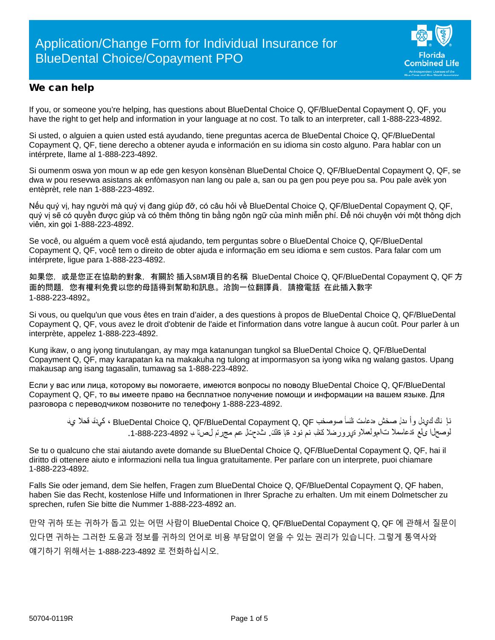

### We can help

If you, or someone you're helping, has questions about BlueDental Choice Q, QF/BlueDental Copayment Q, QF, you have the right to get help and information in your language at no cost. To talk to an interpreter, call 1-888-223-4892.

Si usted, o alguien a quien usted está ayudando, tiene preguntas acerca de BlueDental Choice Q, QF/BlueDental Copayment Q, QF, tiene derecho a obtener ayuda e información en su idioma sin costo alguno. Para hablar con un intérprete, llame al 1-888-223-4892.

Si oumenm oswa yon moun w ap ede gen kesyon konsènan BlueDental Choice Q, QF/BlueDental Copayment Q, QF, se dwa w pou resevwa asistans ak enfòmasyon nan lang ou pale a, san ou pa gen pou peye pou sa. Pou pale avèk yon entèprèt, rele nan 1-888-223-4892.

Nếu quý vị, hay người mà quý vị đang giúp đỡ, có câu hỏi về BlueDental Choice Q, QF/BlueDental Copayment Q, QF, quý vị sẽ có quyền được giúp và có thêm thông tin bằng ngôn ngữ của mình miễn phí. Để nói chuyện với một thông dịch viên, xin gọi 1-888-223-4892.

Se você, ou alguém a quem você está ajudando, tem perguntas sobre o BlueDental Choice Q, QF/BlueDental Copayment Q, QF, você tem o direito de obter ajuda e informação em seu idioma e sem custos. Para falar com um intérprete, ligue para 1-888-223-4892.

如果您,或是您正在協助的對象,有關於 插入SBM項目的名稱 BlueDental Choice Q, QF/BlueDental Copayment Q, QF 方 面的問題,您有權利免費以您的母語得到幫助和訊息。洽詢一位翻譯員,請撥電話 在此插入數字 1-888-223-4892。

Si vous, ou quelqu'un que vous êtes en train d'aider, a des questions à propos de BlueDental Choice Q, QF/BlueDental Copayment Q, QF, vous avez le droit d'obtenir de l'aide et l'information dans votre langue à aucun coût. Pour parler à un interprète, appelez 1-888-223-4892.

Kung ikaw, o ang iyong tinutulangan, ay may mga katanungan tungkol sa BlueDental Choice Q, QF/BlueDental Copayment Q, QF, may karapatan ka na makakuha ng tulong at impormasyon sa iyong wika ng walang gastos. Upang makausap ang isang tagasalin, tumawag sa 1-888-223-4892.

Если у вас или лица, которому вы помогаете, имеются вопросы по поводу BlueDental Choice Q, QF/BlueDental Copayment Q, QF, то вы имеете право на бесплатное получение помощи и информации на вашем языке. Для разговора с переводчиком позвоните по телефону 1-888-223-4892.

نإ ناك كيدل وأ ىدل صخش هدعاست ةلئسأ صوصخب QF ,Q Copayment BlueDental/QF ,Q Choice BlueDental ، كيدلف قحلا يف لوصحلا ىلع ةدعاسملا تامولعملاو ةيرورضلا كتغلب نم نود ةیا ةفلكت. ثدحتلل عم مجرتم لصتا ـب .1-888-223-4892

Se tu o qualcuno che stai aiutando avete domande su BlueDental Choice Q, QF/BlueDental Copayment Q, QF, hai il diritto di ottenere aiuto e informazioni nella tua lingua gratuitamente. Per parlare con un interprete, puoi chiamare 1-888-223-4892.

Falls Sie oder jemand, dem Sie helfen, Fragen zum BlueDental Choice Q, QF/BlueDental Copayment Q, QF haben, haben Sie das Recht, kostenlose Hilfe und Informationen in Ihrer Sprache zu erhalten. Um mit einem Dolmetscher zu sprechen, rufen Sie bitte die Nummer 1-888-223-4892 an.

만약 귀하 또는 귀하가 돕고 있는 어떤 사람이 BlueDental Choice Q, QF/BlueDental Copayment Q, QF 에 관해서 질문이 있다면 귀하는 그러한 도움과 정보를 귀하의 언어로 비용 부담없이 얻을 수 있는 권리가 있습니다. 그렇게 통역사와 얘기하기 위해서는 1-888-223-4892 로 전화하십시오.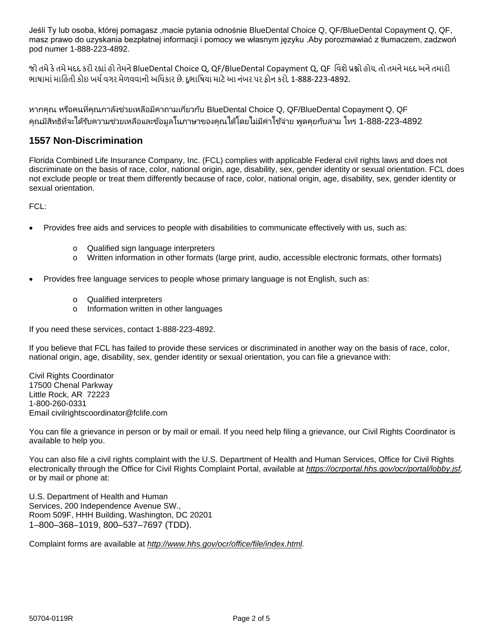Jeśli Ty lub osoba, której pomagasz ,macie pytania odnośnie BlueDental Choice Q, QF/BlueDental Copayment Q, QF, masz prawo do uzyskania bezpłatnej informacji i pomocy we własnym języku .Aby porozmawiać z tłumaczem, zadzwoń pod numer 1-888-223-4892.

જો તમેકેતમેમદદ કરી ર�ાંહો તેમનેBlueDental Choice Q, QF/BlueDental Copayment Q, QF િવશેપ્ર�ો હોય, તો તમનેમદદ અનેતમારી ભાષામાંમાિહતી કોઇ ખચ�વગર મેળવવાનો અિધકાર છે. દુભાિષયા માટેઆ નંબર પર ફોન કરો, 1-888-223-4892.

หากคุณ หรือคนที่คุณกาลังช่วยเหลือมีคาถามเกี่ยวกับ BlueDental Choice Q, QF/BlueDental Copayment Q, QF คุณมีสิทธิที่จะได้รับความช่วยเหลือและข้อมูลในภาษาของคุณได้โดยไม่มีค่าใช้จ่าย พูดคุยกับล่าม โทร 1-888-223-4892

### **1557 Non-Discrimination**

Florida Combined Life Insurance Company, Inc. (FCL) complies with applicable Federal civil rights laws and does not discriminate on the basis of race, color, national origin, age, disability, sex, gender identity or sexual orientation. FCL does not exclude people or treat them differently because of race, color, national origin, age, disability, sex, gender identity or sexual orientation.

FCL:

- Provides free aids and services to people with disabilities to communicate effectively with us, such as:
	- o Qualified sign language interpreters
	- o Written information in other formats (large print, audio, accessible electronic formats, other formats)
- Provides free language services to people whose primary language is not English, such as:
	- o Qualified interpreters
	- o Information written in other languages

If you need these services, contact 1-888-223-4892.

If you believe that FCL has failed to provide these services or discriminated in another way on the basis of race, color, national origin, age, disability, sex, gender identity or sexual orientation, you can file a grievance with:

Civil Rights Coordinator 17500 Chenal Parkway Little Rock, AR 72223 1-800-260-0331 Email civilrightscoordinator@fclife.com

You can file a grievance in person or by mail or email. If you need help filing a grievance, our Civil Rights Coordinator is available to help you.

You can also file a civil rights complaint with the U.S. Department of Health and Human Services, Office for Civil Rights electronically through the Office for Civil Rights Complaint Portal, available at *[https://ocrportal.hhs.gov/ocr/portal/lobby.jsf,](https://ocrportal.hhs.gov/ocr/portal/lobby.jsf)*  or by mail or phone at:

U.S. Department of Health and Human Services, 200 Independence Avenue SW., Room 509F, HHH Building, Washington, DC 20201 1–800–368–1019, 800–537–7697 (TDD).

Complaint forms are available at *[http://www.hhs.gov/ocr/office/file/index.html.](http://www.hhs.gov/ocr/office/file/index.html)*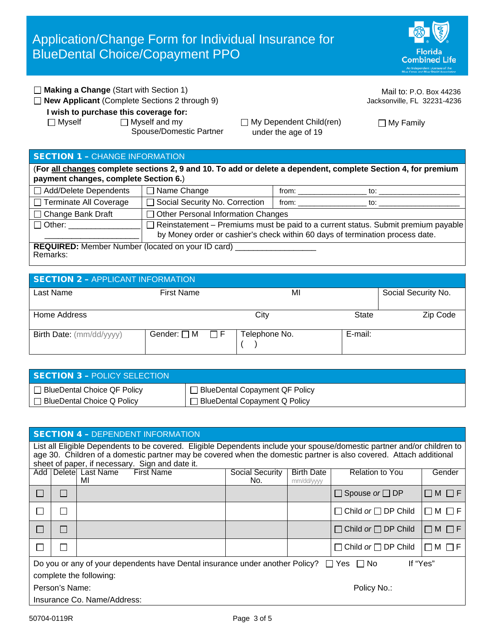Florida **Combined Life** 

| $\Box$ Making a Change (Start with Section 1)                                                             |                                                       | Mail to: P.O. Box 44236     |
|-----------------------------------------------------------------------------------------------------------|-------------------------------------------------------|-----------------------------|
| $\Box$ New Applicant (Complete Sections 2 through 9)                                                      |                                                       | Jacksonville, FL 32231-4236 |
| I wish to purchase this coverage for:<br>$\Box$ Myself<br>$\Box$ Myself and my<br>Spouse/Domestic Partner | $\Box$ My Dependent Child(ren)<br>under the age of 19 | $\Box$ My Family            |

## SECTION 1 – CHANGE INFORMATION

(**For all changes complete sections 2, 9 and 10. To add or delete a dependent, complete Section 4, for premium payment changes, complete Section 6.**)

| □ Add/Delete Dependents                                                       | $\Box$ Name Change                                                                       | from: | to: |
|-------------------------------------------------------------------------------|------------------------------------------------------------------------------------------|-------|-----|
| □ Terminate All Coverage                                                      | □ Social Security No. Correction                                                         | from: | to: |
| $\Box$ Change Bank Draft                                                      | $\Box$ Other Personal Information Changes                                                |       |     |
| $\Box$ Other:                                                                 | $\Box$ Reinstatement – Premiums must be paid to a current status. Submit premium payable |       |     |
| by Money order or cashier's check within 60 days of termination process date. |                                                                                          |       |     |
| <b>REQUIRED:</b> Member Number (located on your ID card)                      |                                                                                          |       |     |

Remarks:

# SECTION 2 – APPLICANT INFORMATION

| Last Name                | <b>First Name</b> |                      | MI            |         | Social Security No. |
|--------------------------|-------------------|----------------------|---------------|---------|---------------------|
| Home Address             |                   |                      | City          | State   | Zip Code            |
| Birth Date: (mm/dd/yyyy) | Gender: □ M       | $\Box$ $\Box$ $\Box$ | Telephone No. | E-mail: |                     |

| SECTION 3 - POLICY SELECTION      |                                  |
|-----------------------------------|----------------------------------|
| □ BlueDental Choice QF Policy     | □ BlueDental Copayment QF Policy |
| $\Box$ BlueDental Choice Q Policy | BlueDental Copayment Q Policy    |

| <b>SECTION 4 - DEPENDENT INFORMATION</b>                                                                                                                                                                                                      |        |                                                    |                        |                                 |                                 |                 |
|-----------------------------------------------------------------------------------------------------------------------------------------------------------------------------------------------------------------------------------------------|--------|----------------------------------------------------|------------------------|---------------------------------|---------------------------------|-----------------|
| List all Eligible Dependents to be covered. Eligible Dependents include your spouse/domestic partner and/or children to<br>age 30. Children of a domestic partner may be covered when the domestic partner is also covered. Attach additional |        |                                                    |                        |                                 |                                 |                 |
|                                                                                                                                                                                                                                               |        | sheet of paper, if necessary. Sign and date it.    |                        |                                 |                                 |                 |
|                                                                                                                                                                                                                                               |        | Add   Delete  Last Name<br><b>First Name</b><br>MI | Social Security<br>No. | <b>Birth Date</b><br>mm/dd/yyyy | <b>Relation to You</b>          | Gender          |
|                                                                                                                                                                                                                                               | П      |                                                    |                        |                                 | $\Box$ Spouse or $\Box$ DP      | $\Box M \Box F$ |
|                                                                                                                                                                                                                                               | П      |                                                    |                        |                                 | $\Box$ Child or $\Box$ DP Child | $\Box M \Box F$ |
|                                                                                                                                                                                                                                               | П      |                                                    |                        |                                 | $\Box$ Child or $\Box$ DP Child | $\Box M \Box F$ |
| $\mathbf{I}$                                                                                                                                                                                                                                  | $\Box$ |                                                    |                        |                                 | $\Box$ Child or $\Box$ DP Child | $\Box M \Box F$ |
| If "Yes"<br>Do you or any of your dependents have Dental insurance under another Policy? $\Box$ Yes $\Box$ No                                                                                                                                 |        |                                                    |                        |                                 |                                 |                 |
| complete the following:                                                                                                                                                                                                                       |        |                                                    |                        |                                 |                                 |                 |
| Person's Name:<br>Policy No.:                                                                                                                                                                                                                 |        |                                                    |                        |                                 |                                 |                 |
| Insurance Co. Name/Address:                                                                                                                                                                                                                   |        |                                                    |                        |                                 |                                 |                 |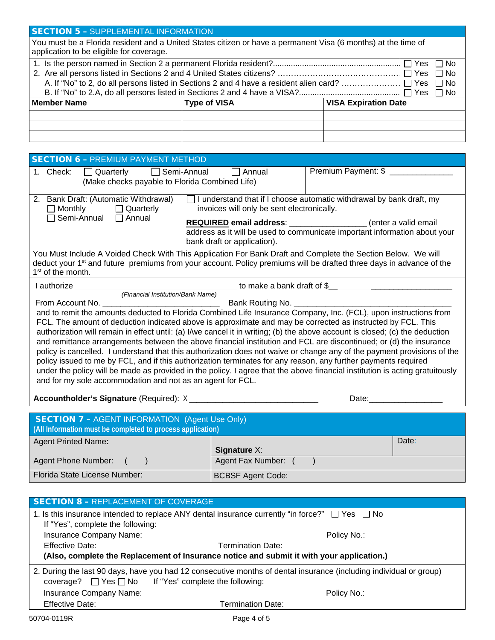| <b>SECTION 5 - SUPPLEMENTAL INFORMATION</b>                                                                                                               |  |                                                                    |  |
|-----------------------------------------------------------------------------------------------------------------------------------------------------------|--|--------------------------------------------------------------------|--|
| You must be a Florida resident and a United States citizen or have a permanent Visa (6 months) at the time of<br>application to be eligible for coverage. |  |                                                                    |  |
|                                                                                                                                                           |  | $\Box$ Yes $\Box$<br>l INo<br>□ Yes 「<br>∩ No<br>$\Box$ No<br>□ No |  |
| <b>Member Name</b><br><b>VISA Expiration Date</b><br><b>Type of VISA</b>                                                                                  |  |                                                                    |  |
|                                                                                                                                                           |  |                                                                    |  |

| <b>SECTION 6 - PREMIUM PAYMENT METHOD</b>                                                                                                                                                                                                                                                                                                                                                                                                                                                                                                                                                                                                                                                                                                                                                                                                                                                                                                                                                                                                                                                                                                                                                                             |                                                                                                                                                                                                                                                                                                          |                     |  |
|-----------------------------------------------------------------------------------------------------------------------------------------------------------------------------------------------------------------------------------------------------------------------------------------------------------------------------------------------------------------------------------------------------------------------------------------------------------------------------------------------------------------------------------------------------------------------------------------------------------------------------------------------------------------------------------------------------------------------------------------------------------------------------------------------------------------------------------------------------------------------------------------------------------------------------------------------------------------------------------------------------------------------------------------------------------------------------------------------------------------------------------------------------------------------------------------------------------------------|----------------------------------------------------------------------------------------------------------------------------------------------------------------------------------------------------------------------------------------------------------------------------------------------------------|---------------------|--|
| 1. Check:<br>$\Box$ Quarterly $\Box$<br>(Make checks payable to Florida Combined Life)                                                                                                                                                                                                                                                                                                                                                                                                                                                                                                                                                                                                                                                                                                                                                                                                                                                                                                                                                                                                                                                                                                                                | Semi-Annual<br>Annual                                                                                                                                                                                                                                                                                    | Premium Payment: \$ |  |
| 2. Bank Draft: (Automatic Withdrawal)<br>$\Box$ Monthly $\Box$ Quarterly<br>□ Semi-Annual □ Annual                                                                                                                                                                                                                                                                                                                                                                                                                                                                                                                                                                                                                                                                                                                                                                                                                                                                                                                                                                                                                                                                                                                    | $\Box$ I understand that if I choose automatic withdrawal by bank draft, my<br>invoices will only be sent electronically.<br>REQUIRED email address: __________________(enter a valid email<br>address as it will be used to communicate important information about your<br>bank draft or application). |                     |  |
| You Must Include A Voided Check With This Application For Bank Draft and Complete the Section Below. We will<br>deduct your 1 <sup>st</sup> and future premiums from your account. Policy premiums will be drafted three days in advance of the<br>1 <sup>st</sup> of the month.                                                                                                                                                                                                                                                                                                                                                                                                                                                                                                                                                                                                                                                                                                                                                                                                                                                                                                                                      |                                                                                                                                                                                                                                                                                                          |                     |  |
| I authorize <b>Allan Accord Accord Formation</b>                                                                                                                                                                                                                                                                                                                                                                                                                                                                                                                                                                                                                                                                                                                                                                                                                                                                                                                                                                                                                                                                                                                                                                      |                                                                                                                                                                                                                                                                                                          |                     |  |
| The Company of Channel Stream of Services of Services of Services and Stream of Services of Services of Services of Services and Stream of Channel Stream of Services of Services of Services and Stream of Services of Servic<br>Bank Routing No. _______<br>and to remit the amounts deducted to Florida Combined Life Insurance Company, Inc. (FCL), upon instructions from<br>FCL. The amount of deduction indicated above is approximate and may be corrected as instructed by FCL. This<br>authorization will remain in effect until: (a) I/we cancel it in writing; (b) the above account is closed; (c) the deduction<br>and remittance arrangements between the above financial institution and FCL are discontinued; or (d) the insurance<br>policy is cancelled. I understand that this authorization does not waive or change any of the payment provisions of the<br>policy issued to me by FCL, and if this authorization terminates for any reason, any further payments required<br>under the policy will be made as provided in the policy. I agree that the above financial institution is acting gratuitously<br>and for my sole accommodation and not as an agent for FCL.<br>Date:______________ |                                                                                                                                                                                                                                                                                                          |                     |  |
| <b>SECTION 7 - AGENT INFORMATION (Agent Use Only)</b><br>(All Information must be completed to process application)                                                                                                                                                                                                                                                                                                                                                                                                                                                                                                                                                                                                                                                                                                                                                                                                                                                                                                                                                                                                                                                                                                   |                                                                                                                                                                                                                                                                                                          |                     |  |
| <b>Agent Printed Name:</b>                                                                                                                                                                                                                                                                                                                                                                                                                                                                                                                                                                                                                                                                                                                                                                                                                                                                                                                                                                                                                                                                                                                                                                                            | <b>Signature X:</b>                                                                                                                                                                                                                                                                                      | Date:               |  |
| Agent Phone Number:                                                                                                                                                                                                                                                                                                                                                                                                                                                                                                                                                                                                                                                                                                                                                                                                                                                                                                                                                                                                                                                                                                                                                                                                   | Agent Fax Number: ()                                                                                                                                                                                                                                                                                     |                     |  |
| Florida State License Number:                                                                                                                                                                                                                                                                                                                                                                                                                                                                                                                                                                                                                                                                                                                                                                                                                                                                                                                                                                                                                                                                                                                                                                                         | <b>BCBSF Agent Code:</b>                                                                                                                                                                                                                                                                                 |                     |  |
|                                                                                                                                                                                                                                                                                                                                                                                                                                                                                                                                                                                                                                                                                                                                                                                                                                                                                                                                                                                                                                                                                                                                                                                                                       |                                                                                                                                                                                                                                                                                                          |                     |  |
| <b>SECTION 8 - REPLACEMENT OF COVERAGE</b><br>1 le this insurance intended to replace ANV deptal insurance currently "in force?" $\Box$ Ves $\Box$ No                                                                                                                                                                                                                                                                                                                                                                                                                                                                                                                                                                                                                                                                                                                                                                                                                                                                                                                                                                                                                                                                 |                                                                                                                                                                                                                                                                                                          |                     |  |

| 1. Is this insurance intended to replace ANY dental insurance currently "in force?" $\Box$ Yes $\Box$ No           |                                                                 |  |  |
|--------------------------------------------------------------------------------------------------------------------|-----------------------------------------------------------------|--|--|
| If "Yes", complete the following:                                                                                  |                                                                 |  |  |
| Insurance Company Name:                                                                                            | Policy No.:                                                     |  |  |
| <b>Effective Date:</b>                                                                                             | Termination Date:                                               |  |  |
| (Also, complete the Replacement of Insurance notice and submit it with your application.)                          |                                                                 |  |  |
| 2. During the last 90 days, have you had 12 consecutive months of dental insurance (including individual or group) |                                                                 |  |  |
|                                                                                                                    | coverage? $\Box$ Yes $\Box$ No If "Yes" complete the following: |  |  |
| Insurance Company Name:                                                                                            | Policy No.:                                                     |  |  |
| <b>Effective Date:</b>                                                                                             | <b>Termination Date:</b>                                        |  |  |